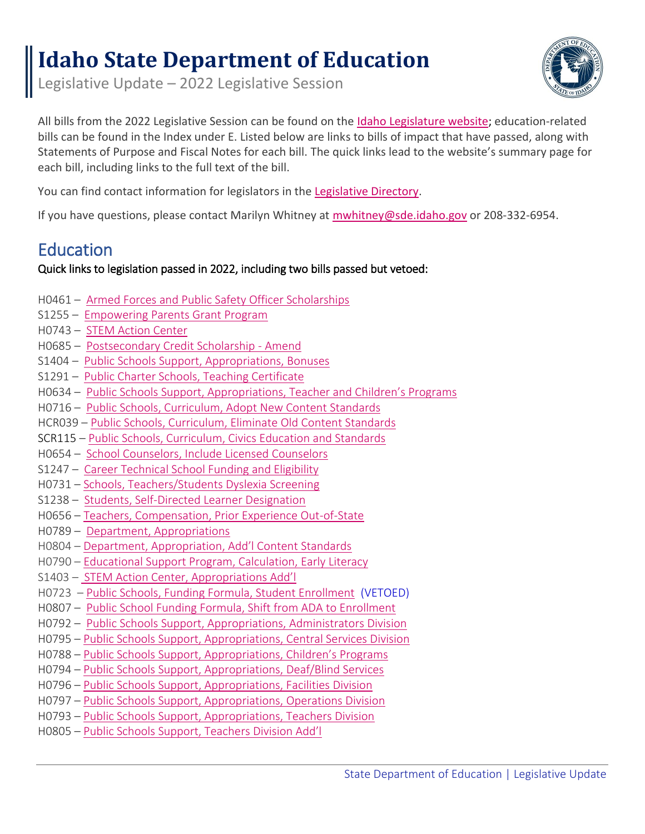# **Idaho State Department of Education**

Legislative Update – 2022 Legislative Session



All bills from the 2022 Legislative Session can be found on the [Idaho Legislature website;](https://legislature.idaho.gov/sessioninfo/2021/legislation/H0215/) education-related bills can be found in the Index under E. Listed below are links to bills of impact that have passed, along with Statements of Purpose and Fiscal Notes for each bill. The quick links lead to the website's summary page for each bill, including links to the full text of the bill.

You can find contact information for legislators in th[e Legislative Directory.](https://legislature.idaho.gov/wp-content/uploads/sessioninfo/2021/directory/Legislative_Directory.pdf)

If you have questions, please contact Marilyn Whitney at [mwhitney@sde.idaho.gov](mailto:mwhitney@sde.idaho.gov) or 208-332-6954.

## Education

## Quick links to legislation passed in 2022, including two bills passed but vetoed:

- H0461 [Armed Forces and Public Safety Officer Scholarships](#page-1-0)
- S1255 [Empowering Parents Grant Program](#page-1-1)
- H0743 [STEM Action Center](#page-1-2)
- H0685 [Postsecondary Credit Scholarship -](#page-2-0) Amend
- S1404 [Public Schools Support, Appropriations, Bonuses](#page-3-0)
- S1291 [Public Charter Schools, Teaching Certificate](#page-3-1)
- H0634 [Public Schools Support, Appropriations, Teacher](#page-3-2) and Children's Programs
- H0716 [Public Schools, Curriculum, Adopt New Content Standards](#page-4-0)
- HCR039 [Public](#page-4-1) Schools, Curriculum, Eliminate Old Content Standards
- SCR115 [Public Schools, Curriculum, Civics Education and Standards](#page-4-2)
- H0654 [School Counselors, Include Licensed Counselors](#page-5-0)
- S1247 [Career Technical School Funding and Eligibility](#page-5-1)
- H0731 [Schools, Teachers/Students Dyslexia Screening](#page-5-2)
- S1238 [Students, Self-Directed Learner Designation](#page-6-0)
- H0656 [Teachers, Compensation, Prior Experience Out-of-State](#page-6-1)
- H0789 [Department, Appropriations](#page-7-0)
- H0804 [Department, Appropriation, Add'l Content Standards](#page-8-0)
- H0790 [Educational Support Program, Calculation, Early](#page-8-1) Literacy
- S1403 [STEM Action Center, Appropriations Add'l](#page-8-2)
- H0723 [Public Schools, Funding Formula, Student Enrollment](#page-9-0) (VETOED)
- H0807 [Public School Funding Formula, Shift](#page-10-0) from ADA to Enrollment
- H0792 [Public Schools Support, Appropriations, Administrators Division](#page-10-1)
- H0795 [Public Schools Support, Appropriations, Central Services Division](#page-11-0)
- H0788 [Public Schools Support, Appropriations, Children's Programs](#page-12-0)
- H0794 Public Schools Support, Appropriations, Deaf/Blind Services
- H0796 [Public Schools Support, Appropriations, Facilities Division](#page-14-0)
- H0797 [Public Schools Support, Appropriations, Operations Division](#page-15-0)
- H0793 [Public Schools Support, Appropriations, Teachers Division](#page-16-0)
- H0805 [Public Schools Support, Teachers Division Add'l](#page-17-0)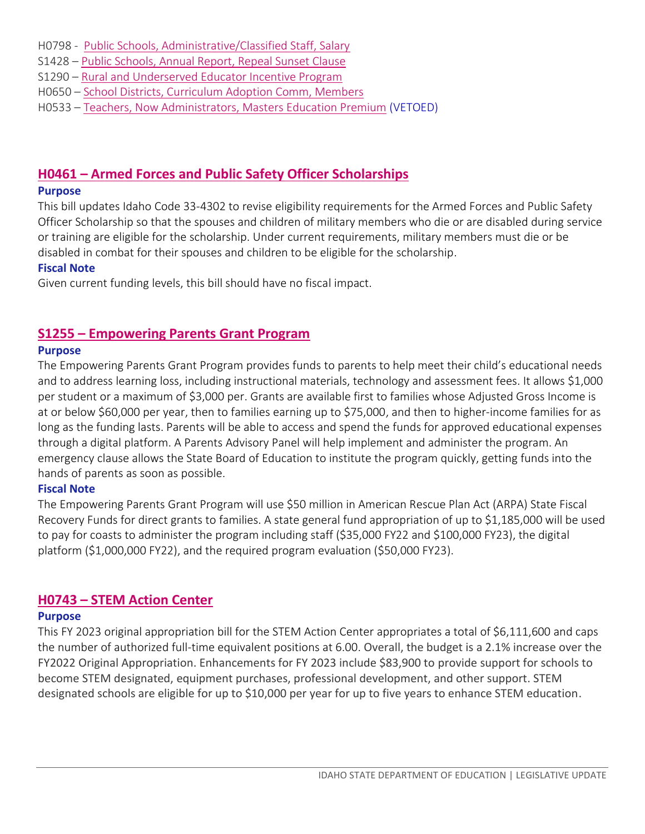- H0798 - [Public Schools, Administrative/Classified Staff, Salary](#page-17-1)
- S1428 [Public Schools, Annual Report, Repeal Sunset Clause](#page-18-0)
- S1290 [Rural and Underserved Educator Incentive Program](#page-18-0)
- H0650 [School Districts, Curriculum Adoption Comm, Members](#page-18-1)
- H0533 [Teachers, Now Administrators, Masters Education Premium](#page-19-0) (VETOED)

## <span id="page-1-0"></span>**H0461 – [Armed Forces and Public Safety Officer Scholarships](https://legislature.idaho.gov/sessioninfo/2022/legislation/H0461/)**

#### **Purpose**

This bill updates Idaho Code 33-4302 to revise eligibility requirements for the Armed Forces and Public Safety Officer Scholarship so that the spouses and children of military members who die or are disabled during service or training are eligible for the scholarship. Under current requirements, military members must die or be disabled in combat for their spouses and children to be eligible for the scholarship.

#### **Fiscal Note**

Given current funding levels, this bill should have no fiscal impact.

## <span id="page-1-1"></span>**S1255 – [Empowering Parents Grant Program](https://legislature.idaho.gov/sessioninfo/2022/legislation/S1255/)**

#### **Purpose**

The Empowering Parents Grant Program provides funds to parents to help meet their child's educational needs and to address learning loss, including instructional materials, technology and assessment fees. It allows \$1,000 per student or a maximum of \$3,000 per. Grants are available first to families whose Adjusted Gross Income is at or below \$60,000 per year, then to families earning up to \$75,000, and then to higher-income families for as long as the funding lasts. Parents will be able to access and spend the funds for approved educational expenses through a digital platform. A Parents Advisory Panel will help implement and administer the program. An emergency clause allows the State Board of Education to institute the program quickly, getting funds into the hands of parents as soon as possible.

#### **Fiscal Note**

The Empowering Parents Grant Program will use \$50 million in American Rescue Plan Act (ARPA) State Fiscal Recovery Funds for direct grants to families. A state general fund appropriation of up to \$1,185,000 will be used to pay for coasts to administer the program including staff (\$35,000 FY22 and \$100,000 FY23), the digital platform (\$1,000,000 FY22), and the required program evaluation (\$50,000 FY23).

#### <span id="page-1-2"></span>**H0743 – STEM Action Center**

#### **Purpose**

This FY 2023 original appropriation bill for the STEM Action Center appropriates a total of \$6,111,600 and caps the number of authorized full-time equivalent positions at 6.00. Overall, the budget is a 2.1% increase over the FY2022 Original Appropriation. Enhancements for FY 2023 include \$83,900 to provide support for schools to become STEM designated, equipment purchases, professional development, and other support. STEM designated schools are eligible for up to \$10,000 per year for up to five years to enhance STEM education.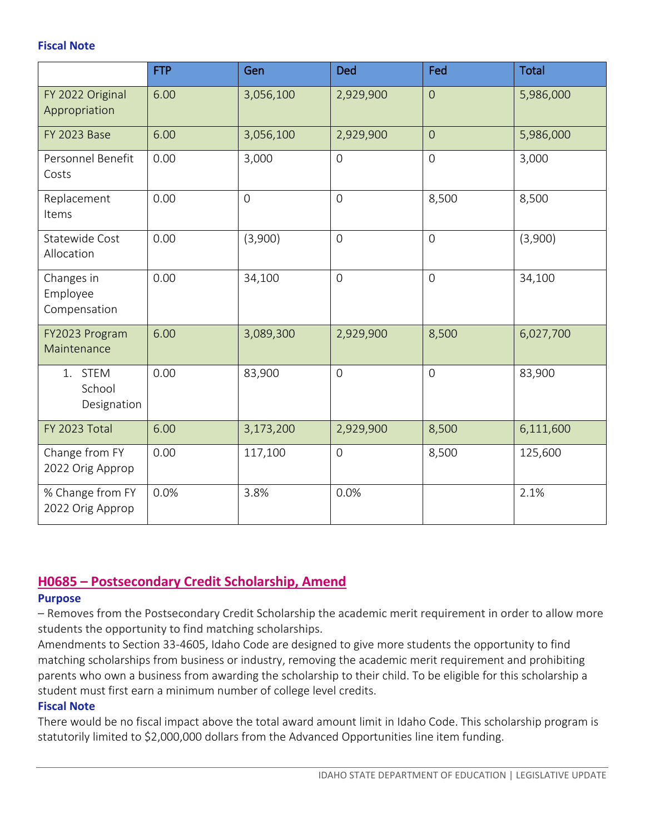#### **Fiscal Note**

|                                        | <b>FTP</b> | Gen            | <b>Ded</b>     | Fed            | <b>Total</b> |
|----------------------------------------|------------|----------------|----------------|----------------|--------------|
| FY 2022 Original<br>Appropriation      | 6.00       | 3,056,100      | 2,929,900      | $\overline{O}$ | 5,986,000    |
| <b>FY 2023 Base</b>                    | 6.00       | 3,056,100      | 2,929,900      | $\overline{0}$ | 5,986,000    |
| Personnel Benefit<br>Costs             | 0.00       | 3,000          | $\overline{0}$ | $\overline{0}$ | 3,000        |
| Replacement<br>Items                   | 0.00       | $\overline{0}$ | $\overline{0}$ | 8,500          | 8,500        |
| Statewide Cost<br>Allocation           | 0.00       | (3,900)        | $\overline{0}$ | $\overline{O}$ | (3,900)      |
| Changes in<br>Employee<br>Compensation | 0.00       | 34,100         | $\overline{O}$ | $\overline{0}$ | 34,100       |
| FY2023 Program<br>Maintenance          | 6.00       | 3,089,300      | 2,929,900      | 8,500          | 6,027,700    |
| 1. STEM<br>School<br>Designation       | 0.00       | 83,900         | $\overline{0}$ | $\overline{O}$ | 83,900       |
| FY 2023 Total                          | 6.00       | 3,173,200      | 2,929,900      | 8,500          | 6,111,600    |
| Change from FY<br>2022 Orig Approp     | 0.00       | 117,100        | $\overline{0}$ | 8,500          | 125,600      |
| % Change from FY<br>2022 Orig Approp   | 0.0%       | 3.8%           | 0.0%           |                | 2.1%         |

## <span id="page-2-0"></span>**H0685 – [Postsecondary Credit Scholarship, Amend](https://legislature.idaho.gov/wp-content/uploads/sessioninfo/2022/legislation/S1291SOP.pdf)**

#### **Purpose**

– Removes from the Postsecondary Credit Scholarship the academic merit requirement in order to allow more students the opportunity to find matching scholarships.

Amendments to Section 33-4605, Idaho Code are designed to give more students the opportunity to find matching scholarships from business or industry, removing the academic merit requirement and prohibiting parents who own a business from awarding the scholarship to their child. To be eligible for this scholarship a student must first earn a minimum number of college level credits.

#### **Fiscal Note**

There would be no fiscal impact above the total award amount limit in Idaho Code. This scholarship program is statutorily limited to \$2,000,000 dollars from the Advanced Opportunities line item funding.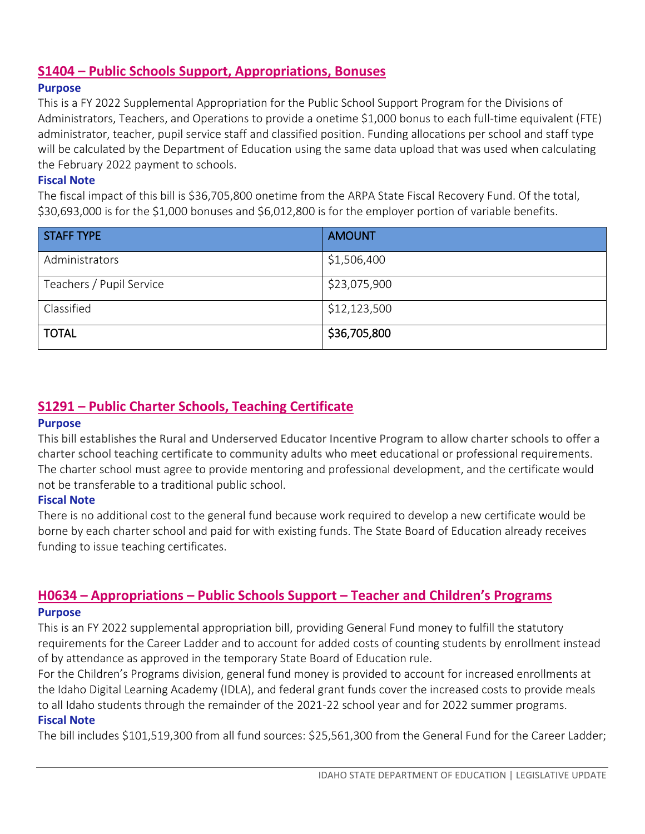## <span id="page-3-0"></span>**S1404 – Public Schools Support, Appropriations, Bonuses**

#### **Purpose**

This is a FY 2022 Supplemental Appropriation for the Public School Support Program for the Divisions of Administrators, Teachers, and Operations to provide a onetime \$1,000 bonus to each full-time equivalent (FTE) administrator, teacher, pupil service staff and classified position. Funding allocations per school and staff type will be calculated by the Department of Education using the same data upload that was used when calculating the February 2022 payment to schools.

#### **Fiscal Note**

The fiscal impact of this bill is \$36,705,800 onetime from the ARPA State Fiscal Recovery Fund. Of the total, \$30,693,000 is for the \$1,000 bonuses and \$6,012,800 is for the employer portion of variable benefits.

| <b>STAFF TYPE</b>        | <b>AMOUNT</b> |
|--------------------------|---------------|
| Administrators           | \$1,506,400   |
| Teachers / Pupil Service | \$23,075,900  |
| Classified               | \$12,123,500  |
| <b>TOTAL</b>             | \$36,705,800  |

## <span id="page-3-1"></span>**S1291 – [Public Charter Schools, Teaching Certificate](https://legislature.idaho.gov/wp-content/uploads/sessioninfo/2022/legislation/S1291SOP.pdf)**

#### **Purpose**

This bill establishes the Rural and Underserved Educator Incentive Program to allow charter schools to offer a charter school teaching certificate to community adults who meet educational or professional requirements. The charter school must agree to provide mentoring and professional development, and the certificate would not be transferable to a traditional public school.

#### **Fiscal Note**

There is no additional cost to the general fund because work required to develop a new certificate would be borne by each charter school and paid for with existing funds. The State Board of Education already receives funding to issue teaching certificates.

## <span id="page-3-2"></span>**H0634 – Appropriations – Public Schools Support – Teacher [and Children's Programs](https://legislature.idaho.gov/sessioninfo/2022/legislation/H0634/) Purpose**

This is an FY 2022 supplemental appropriation bill, providing General Fund money to fulfill the statutory requirements for the Career Ladder and to account for added costs of counting students by enrollment instead of by attendance as approved in the temporary State Board of Education rule.

For the Children's Programs division, general fund money is provided to account for increased enrollments at the Idaho Digital Learning Academy (IDLA), and federal grant funds cover the increased costs to provide meals to all Idaho students through the remainder of the 2021-22 school year and for 2022 summer programs.

#### **Fiscal Note**

The bill includes \$101,519,300 from all fund sources: \$25,561,300 from the General Fund for the Career Ladder;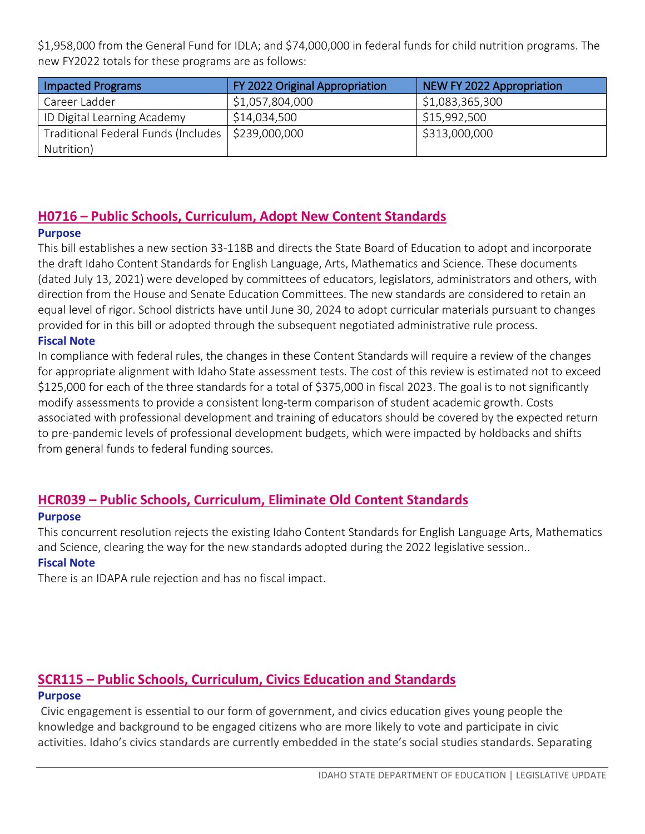\$1,958,000 from the General Fund for IDLA; and \$74,000,000 in federal funds for child nutrition programs. The new FY2022 totals for these programs are as follows:

| <b>Impacted Programs</b>                            | FY 2022 Original Appropriation | NEW FY 2022 Appropriation |
|-----------------------------------------------------|--------------------------------|---------------------------|
| Career Ladder                                       | \$1,057,804,000                | \$1,083,365,300           |
| ID Digital Learning Academy                         | \$14,034,500                   | \$15,992,500              |
| Traditional Federal Funds (Includes   \$239,000,000 |                                | \$313,000,000             |
| Nutrition)                                          |                                |                           |

## <span id="page-4-0"></span>**H0716 – [Public Schools, Curriculum, Adopt New Content Standards](https://legislature.idaho.gov/wp-content/uploads/sessioninfo/2022/legislation/H0716SOP.pdf)**

#### **Purpose**

This bill establishes a new section 33-118B and directs the State Board of Education to adopt and incorporate the draft Idaho Content Standards for English Language, Arts, Mathematics and Science. These documents (dated July 13, 2021) were developed by committees of educators, legislators, administrators and others, with direction from the House and Senate Education Committees. The new standards are considered to retain an equal level of rigor. School districts have until June 30, 2024 to adopt curricular materials pursuant to changes provided for in this bill or adopted through the subsequent negotiated administrative rule process.

#### **Fiscal Note**

In compliance with federal rules, the changes in these Content Standards will require a review of the changes for appropriate alignment with Idaho State assessment tests. The cost of this review is estimated not to exceed \$125,000 for each of the three standards for a total of \$375,000 in fiscal 2023. The goal is to not significantly modify assessments to provide a consistent long-term comparison of student academic growth. Costs associated with professional development and training of educators should be covered by the expected return to pre-pandemic levels of professional development budgets, which were impacted by holdbacks and shifts from general funds to federal funding sources.

## <span id="page-4-1"></span>**HCR039 – Public Schools, Curriculum, Eliminate Old Content Standards**

#### **Purpose**

This concurrent resolution rejects the existing Idaho Content Standards for English Language Arts, Mathematics and Science, clearing the way for the new standards adopted during the 2022 legislative session..

#### **Fiscal Note**

There is an IDAPA rule rejection and has no fiscal impact.

## <span id="page-4-2"></span>**SCR115 – [Public Schools, Curriculum, Civics Education](https://legislature.idaho.gov/sessioninfo/2022/legislation/SCR115/) and Standards**

#### **Purpose**

Civic engagement is essential to our form of government, and civics education gives young people the knowledge and background to be engaged citizens who are more likely to vote and participate in civic activities. Idaho's civics standards are currently embedded in the state's social studies standards. Separating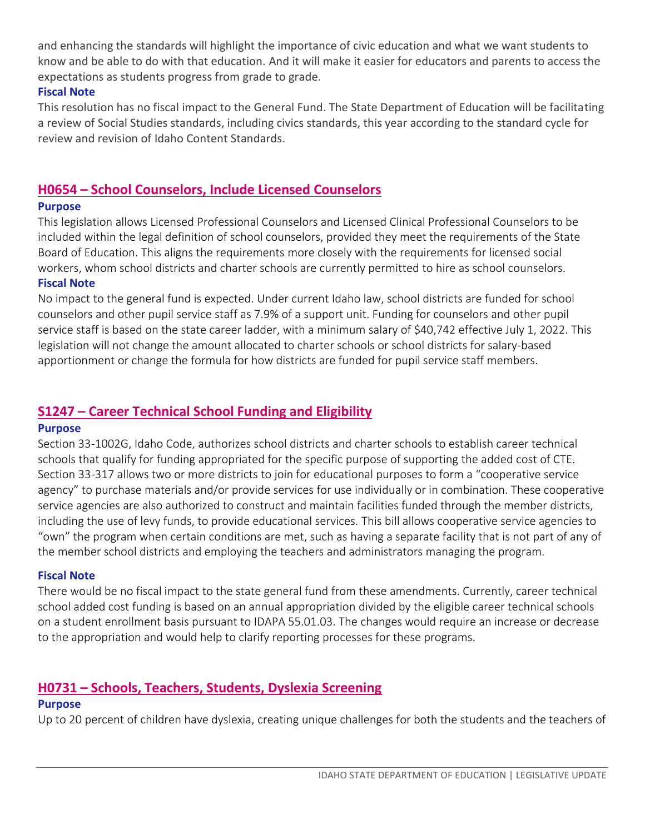and enhancing the standards will highlight the importance of civic education and what we want students to know and be able to do with that education. And it will make it easier for educators and parents to access the expectations as students progress from grade to grade.

#### **Fiscal Note**

This resolution has no fiscal impact to the General Fund. The State Department of Education will be facilitating a review of Social Studies standards, including civics standards, this year according to the standard cycle for review and revision of Idaho Content Standards.

## <span id="page-5-0"></span>**H0654 – [School Counselors, Include Licensed Counselors](https://legislature.idaho.gov/wp-content/uploads/sessioninfo/2022/legislation/H0654SOP.pdf)**

#### **Purpose**

This legislation allows Licensed Professional Counselors and Licensed Clinical Professional Counselors to be included within the legal definition of school counselors, provided they meet the requirements of the State Board of Education. This aligns the requirements more closely with the requirements for licensed social workers, whom school districts and charter schools are currently permitted to hire as school counselors. **Fiscal Note**

No impact to the general fund is expected. Under current Idaho law, school districts are funded for school counselors and other pupil service staff as 7.9% of a support unit. Funding for counselors and other pupil service staff is based on the state career ladder, with a minimum salary of \$40,742 effective July 1, 2022. This legislation will not change the amount allocated to charter schools or school districts for salary-based apportionment or change the formula for how districts are funded for pupil service staff members.

## <span id="page-5-1"></span>**S1247 – [Career Technical School Funding and Eligibility](https://legislature.idaho.gov/wp-content/uploads/sessioninfo/2022/legislation/S1247SOP.pdf)**

#### **Purpose**

Section 33-1002G, Idaho Code, authorizes school districts and charter schools to establish career technical schools that qualify for funding appropriated for the specific purpose of supporting the added cost of CTE. Section 33-317 allows two or more districts to join for educational purposes to form a "cooperative service agency" to purchase materials and/or provide services for use individually or in combination. These cooperative service agencies are also authorized to construct and maintain facilities funded through the member districts, including the use of levy funds, to provide educational services. This bill allows cooperative service agencies to "own" the program when certain conditions are met, such as having a separate facility that is not part of any of the member school districts and employing the teachers and administrators managing the program.

#### **Fiscal Note**

There would be no fiscal impact to the state general fund from these amendments. Currently, career technical school added cost funding is based on an annual appropriation divided by the eligible career technical schools on a student enrollment basis pursuant to IDAPA 55.01.03. The changes would require an increase or decrease to the appropriation and would help to clarify reporting processes for these programs.

## <span id="page-5-2"></span>**H0731 – [Schools, Teachers, Students, Dyslexia Screening](https://legislature.idaho.gov/wp-content/uploads/sessioninfo/2022/legislation/H0731SOP.pdf)**

#### **Purpose**

Up to 20 percent of children have dyslexia, creating unique challenges for both the students and the teachers of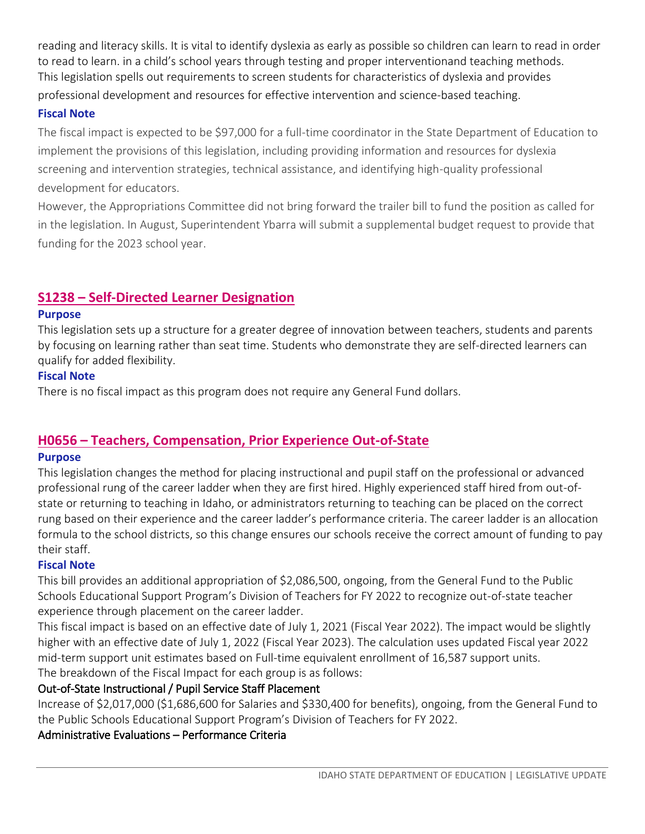reading and literacy skills. It is vital to identify dyslexia as early as possible so children can learn to read in order to read to learn. in a child's school years through testing and proper interventionand teaching methods. This legislation spells out requirements to screen students for characteristics of dyslexia and provides

professional development and resources for effective intervention and science-based teaching.

## **Fiscal Note**

The fiscal impact is expected to be \$97,000 for a full-time coordinator in the State Department of Education to implement the provisions of this legislation, including providing information and resources for dyslexia screening and intervention strategies, technical assistance, and identifying high-quality professional development for educators.

However, the Appropriations Committee did not bring forward the trailer bill to fund the position as called for in the legislation. In August, Superintendent Ybarra will submit a supplemental budget request to provide that funding for the 2023 school year.

## <span id="page-6-0"></span>**S1238 – [Self-Directed Learner Designation](https://legislature.idaho.gov/sessioninfo/2022/legislation/S1238/)**

## **Purpose**

This legislation sets up a structure for a greater degree of innovation between teachers, students and parents by focusing on learning rather than seat time. Students who demonstrate they are self-directed learners can qualify for added flexibility.

## **Fiscal Note**

There is no fiscal impact as this program does not require any General Fund dollars.

## <span id="page-6-1"></span>**H0656 – [Teachers, Compensation, Prior Experience Out-of-State](https://legislature.idaho.gov/wp-content/uploads/sessioninfo/2022/legislation/H0656SOP.pdf)**

## **Purpose**

This legislation changes the method for placing instructional and pupil staff on the professional or advanced professional rung of the career ladder when they are first hired. Highly experienced staff hired from out-ofstate or returning to teaching in Idaho, or administrators returning to teaching can be placed on the correct rung based on their experience and the career ladder's performance criteria. The career ladder is an allocation formula to the school districts, so this change ensures our schools receive the correct amount of funding to pay their staff.

## **Fiscal Note**

This bill provides an additional appropriation of \$2,086,500, ongoing, from the General Fund to the Public Schools Educational Support Program's Division of Teachers for FY 2022 to recognize out-of-state teacher experience through placement on the career ladder.

This fiscal impact is based on an effective date of July 1, 2021 (Fiscal Year 2022). The impact would be slightly higher with an effective date of July 1, 2022 (Fiscal Year 2023). The calculation uses updated Fiscal year 2022 mid-term support unit estimates based on Full-time equivalent enrollment of 16,587 support units. The breakdown of the Fiscal Impact for each group is as follows:

## Out-of-State Instructional / Pupil Service Staff Placement

Increase of \$2,017,000 (\$1,686,600 for Salaries and \$330,400 for benefits), ongoing, from the General Fund to the Public Schools Educational Support Program's Division of Teachers for FY 2022.

## Administrative Evaluations – Performance Criteria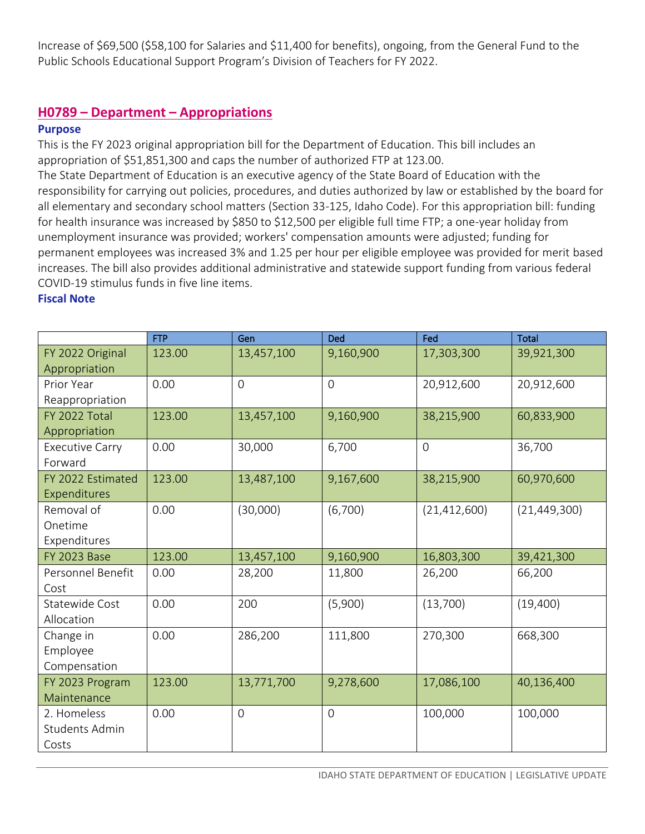Increase of \$69,500 (\$58,100 for Salaries and \$11,400 for benefits), ongoing, from the General Fund to the Public Schools Educational Support Program's Division of Teachers for FY 2022.

## <span id="page-7-0"></span>**H0789 – Department – Appropriations**

#### **Purpose**

This is the FY 2023 original appropriation bill for the Department of Education. This bill includes an appropriation of \$51,851,300 and caps the number of authorized FTP at 123.00.

The State Department of Education is an executive agency of the State Board of Education with the responsibility for carrying out policies, procedures, and duties authorized by law or established by the board for all elementary and secondary school matters (Section 33-125, Idaho Code). For this appropriation bill: funding for health insurance was increased by \$850 to \$12,500 per eligible full time FTP; a one-year holiday from unemployment insurance was provided; workers' compensation amounts were adjusted; funding for permanent employees was increased 3% and 1.25 per hour per eligible employee was provided for merit based increases. The bill also provides additional administrative and statewide support funding from various federal COVID-19 stimulus funds in five line items.

|                       | <b>FTP</b> | Gen         | Ded            | Fed            | <b>Total</b>   |
|-----------------------|------------|-------------|----------------|----------------|----------------|
| FY 2022 Original      | 123.00     | 13,457,100  | 9,160,900      | 17,303,300     | 39,921,300     |
| Appropriation         |            |             |                |                |                |
| Prior Year            | 0.00       | $\mathbf 0$ | $\mathbf 0$    | 20,912,600     | 20,912,600     |
| Reappropriation       |            |             |                |                |                |
| FY 2022 Total         | 123.00     | 13,457,100  | 9,160,900      | 38,215,900     | 60,833,900     |
| Appropriation         |            |             |                |                |                |
| Executive Carry       | 0.00       | 30,000      | 6,700          | $\overline{O}$ | 36,700         |
| Forward               |            |             |                |                |                |
| FY 2022 Estimated     | 123.00     | 13,487,100  | 9,167,600      | 38,215,900     | 60,970,600     |
| Expenditures          |            |             |                |                |                |
| Removal of            | 0.00       | (30,000)    | (6,700)        | (21, 412, 600) | (21, 449, 300) |
| Onetime               |            |             |                |                |                |
| Expenditures          |            |             |                |                |                |
| <b>FY 2023 Base</b>   | 123.00     | 13,457,100  | 9,160,900      | 16,803,300     | 39,421,300     |
| Personnel Benefit     | 0.00       | 28,200      | 11,800         | 26,200         | 66,200         |
| Cost                  |            |             |                |                |                |
| Statewide Cost        | 0.00       | 200         | (5,900)        | (13,700)       | (19,400)       |
| Allocation            |            |             |                |                |                |
| Change in             | 0.00       | 286,200     | 111,800        | 270,300        | 668,300        |
| Employee              |            |             |                |                |                |
| Compensation          |            |             |                |                |                |
| FY 2023 Program       | 123.00     | 13,771,700  | 9,278,600      | 17,086,100     | 40,136,400     |
| Maintenance           |            |             |                |                |                |
| 2. Homeless           | 0.00       | 0           | $\overline{0}$ | 100,000        | 100,000        |
| <b>Students Admin</b> |            |             |                |                |                |
| Costs                 |            |             |                |                |                |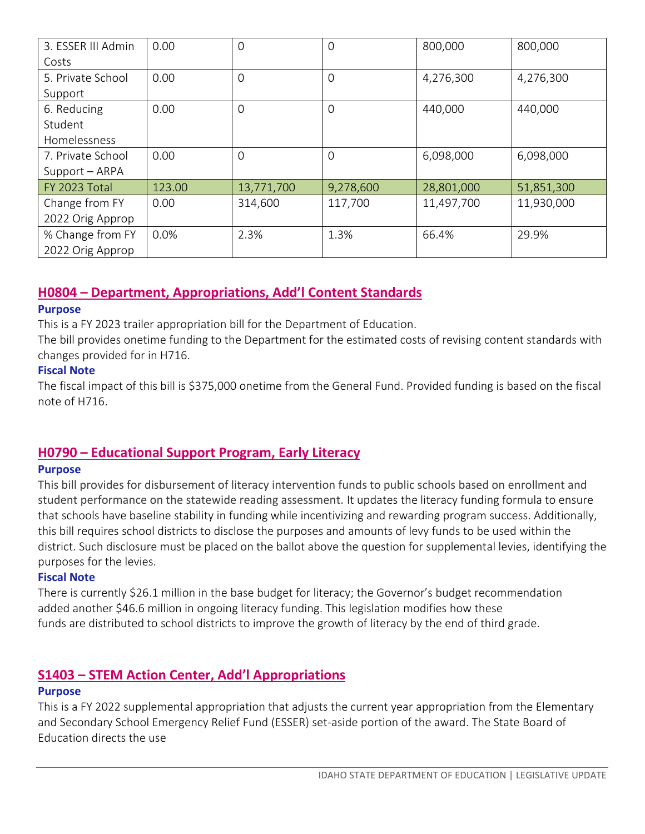| 3. ESSER III Admin | 0.00   | $\Omega$   | 0         | 800,000    | 800,000    |
|--------------------|--------|------------|-----------|------------|------------|
| Costs              |        |            |           |            |            |
| 5. Private School  | 0.00   | $\Omega$   | 0         | 4,276,300  | 4,276,300  |
| Support            |        |            |           |            |            |
| 6. Reducing        | 0.00   | 0          | 0         | 440,000    | 440,000    |
| Student            |        |            |           |            |            |
| Homelessness       |        |            |           |            |            |
| 7. Private School  | 0.00   | $\Omega$   | 0         | 6,098,000  | 6,098,000  |
| Support - ARPA     |        |            |           |            |            |
| FY 2023 Total      | 123.00 | 13,771,700 | 9,278,600 | 28,801,000 | 51,851,300 |
| Change from FY     | 0.00   | 314,600    | 117,700   | 11,497,700 | 11,930,000 |
| 2022 Orig Approp   |        |            |           |            |            |
| % Change from FY   | 0.0%   | 2.3%       | 1.3%      | 66.4%      | 29.9%      |
| 2022 Orig Approp   |        |            |           |            |            |

## <span id="page-8-0"></span>**H0804 – Department, Appropriations, Add'l Content Standards**

#### **Purpose**

This is a FY 2023 trailer appropriation bill for the Department of Education.

The bill provides onetime funding to the Department for the estimated costs of revising content standards with changes provided for in H716.

#### **Fiscal Note**

The fiscal impact of this bill is \$375,000 onetime from the General Fund. Provided funding is based on the fiscal note of H716.

## <span id="page-8-1"></span>**H0790 – [Educational Support Program, Early Literacy](https://legislature.idaho.gov/wp-content/uploads/sessioninfo/2022/legislation/SCR115SOP.pdf)**

#### **Purpose**

This bill provides for disbursement of literacy intervention funds to public schools based on enrollment and student performance on the statewide reading assessment. It updates the literacy funding formula to ensure that schools have baseline stability in funding while incentivizing and rewarding program success. Additionally, this bill requires school districts to disclose the purposes and amounts of levy funds to be used within the district. Such disclosure must be placed on the ballot above the question for supplemental levies, identifying the purposes for the levies.

#### **Fiscal Note**

There is currently \$26.1 million in the base budget for literacy; the Governor's budget recommendation added another \$46.6 million in ongoing literacy funding. This legislation modifies how these funds are distributed to school districts to improve the growth of literacy by the end of third grade.

## <span id="page-8-2"></span>**S1403 – STEM Action Center, Add'l Appropriations**

#### **Purpose**

This is a FY 2022 supplemental appropriation that adjusts the current year appropriation from the Elementary and Secondary School Emergency Relief Fund (ESSER) set-aside portion of the award. The State Board of Education directs the use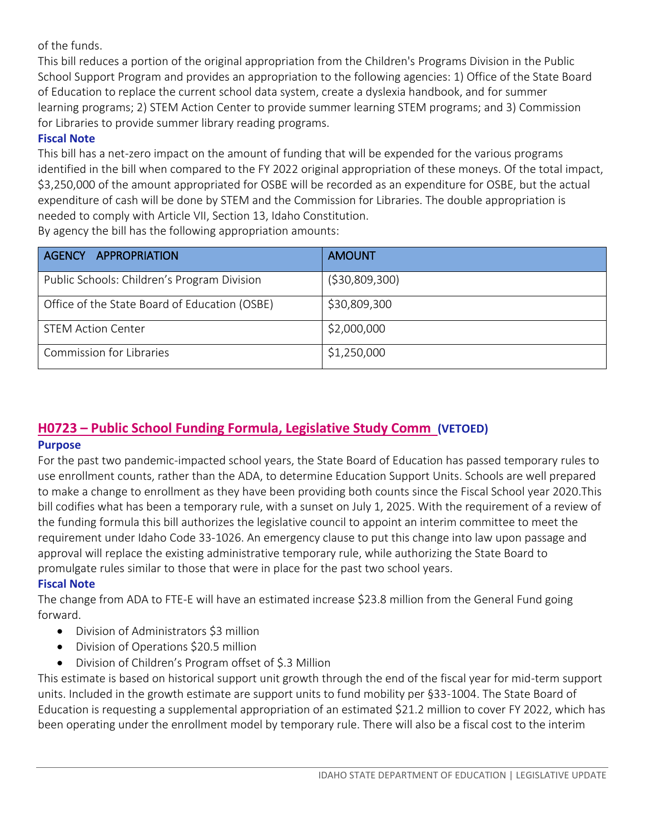of the funds.

This bill reduces a portion of the original appropriation from the Children's Programs Division in the Public School Support Program and provides an appropriation to the following agencies: 1) Office of the State Board of Education to replace the current school data system, create a dyslexia handbook, and for summer learning programs; 2) STEM Action Center to provide summer learning STEM programs; and 3) Commission for Libraries to provide summer library reading programs.

## **Fiscal Note**

This bill has a net-zero impact on the amount of funding that will be expended for the various programs identified in the bill when compared to the FY 2022 original appropriation of these moneys. Of the total impact, \$3,250,000 of the amount appropriated for OSBE will be recorded as an expenditure for OSBE, but the actual expenditure of cash will be done by STEM and the Commission for Libraries. The double appropriation is needed to comply with Article VII, Section 13, Idaho Constitution.

By agency the bill has the following appropriation amounts:

| AGENCY APPROPRIATION                          | <b>AMOUNT</b>   |
|-----------------------------------------------|-----------------|
| Public Schools: Children's Program Division   | ( \$30,809,300) |
| Office of the State Board of Education (OSBE) | \$30,809,300    |
| <b>STEM Action Center</b>                     | \$2,000,000     |
| <b>Commission for Libraries</b>               | \$1,250,000     |

## <span id="page-9-0"></span>**H0723 – Public School Funding Formula, Legislative Study Comm (VETOED)**

#### **Purpose**

For the past two pandemic-impacted school years, the State Board of Education has passed temporary rules to use enrollment counts, rather than the ADA, to determine Education Support Units. Schools are well prepared to make a change to enrollment as they have been providing both counts since the Fiscal School year 2020.This bill codifies what has been a temporary rule, with a sunset on July 1, 2025. With the requirement of a review of the funding formula this bill authorizes the legislative council to appoint an interim committee to meet the requirement under Idaho Code 33-1026. An emergency clause to put this change into law upon passage and approval will replace the existing administrative temporary rule, while authorizing the State Board to promulgate rules similar to those that were in place for the past two school years.

#### **Fiscal Note**

The change from ADA to FTE-E will have an estimated increase \$23.8 million from the General Fund going forward.

- Division of Administrators \$3 million
- Division of Operations \$20.5 million
- Division of Children's Program offset of \$.3 Million

This estimate is based on historical support unit growth through the end of the fiscal year for mid-term support units. Included in the growth estimate are support units to fund mobility per §33-1004. The State Board of Education is requesting a supplemental appropriation of an estimated \$21.2 million to cover FY 2022, which has been operating under the enrollment model by temporary rule. There will also be a fiscal cost to the interim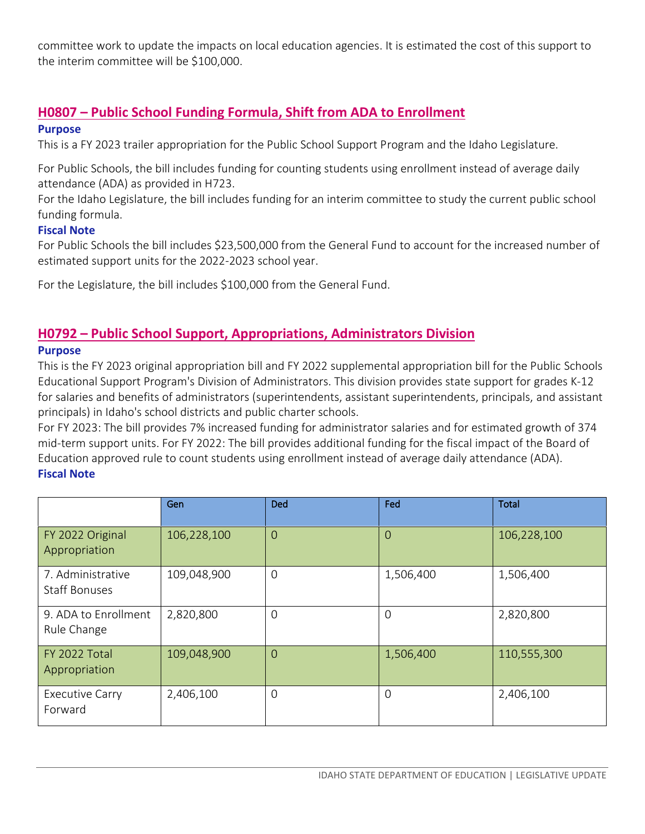committee work to update the impacts on local education agencies. It is estimated the cost of this support to the interim committee will be \$100,000.

## <span id="page-10-0"></span>**[H0807](https://legislature.idaho.gov/sessioninfo/2022/legislation/H0634/) – Public School Funding Formula, Shift from ADA to Enrollment**

#### **Purpose**

This is a FY 2023 trailer appropriation for the Public School Support Program and the Idaho Legislature.

For Public Schools, the bill includes funding for counting students using enrollment instead of average daily attendance (ADA) as provided in H723.

For the Idaho Legislature, the bill includes funding for an interim committee to study the current public school funding formula.

#### **Fiscal Note**

For Public Schools the bill includes \$23,500,000 from the General Fund to account for the increased number of estimated support units for the 2022-2023 school year.

For the Legislature, the bill includes \$100,000 from the General Fund.

## <span id="page-10-1"></span>**H0792 – Public School Support, Appropriations, Administrators Division**

#### **Purpose**

This is the FY 2023 original appropriation bill and FY 2022 supplemental appropriation bill for the Public Schools Educational Support Program's Division of Administrators. This division provides state support for grades K-12 for salaries and benefits of administrators (superintendents, assistant superintendents, principals, and assistant principals) in Idaho's school districts and public charter schools.

For FY 2023: The bill provides 7% increased funding for administrator salaries and for estimated growth of 374 mid-term support units. For FY 2022: The bill provides additional funding for the fiscal impact of the Board of Education approved rule to count students using enrollment instead of average daily attendance (ADA). **Fiscal Note**

|                                           | Gen         | <b>Ded</b>     | Fed            | Total       |
|-------------------------------------------|-------------|----------------|----------------|-------------|
| FY 2022 Original<br>Appropriation         | 106,228,100 | $\overline{0}$ | $\overline{0}$ | 106,228,100 |
| 7. Administrative<br><b>Staff Bonuses</b> | 109,048,900 | $\mathbf 0$    | 1,506,400      | 1,506,400   |
| 9. ADA to Enrollment<br>Rule Change       | 2,820,800   | $\mathbf 0$    | $\overline{0}$ | 2,820,800   |
| FY 2022 Total<br>Appropriation            | 109,048,900 | $\Omega$       | 1,506,400      | 110,555,300 |
| Executive Carry<br>Forward                | 2,406,100   | $\mathbf 0$    | $\overline{0}$ | 2,406,100   |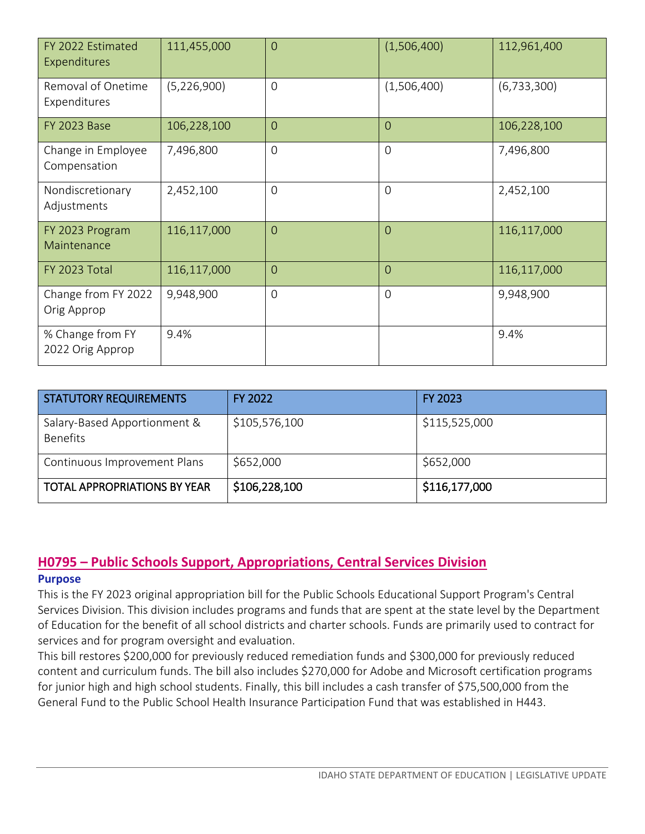| FY 2022 Estimated<br>Expenditures    | 111,455,000 | $\Omega$       | (1,506,400)    | 112,961,400   |
|--------------------------------------|-------------|----------------|----------------|---------------|
| Removal of Onetime<br>Expenditures   | (5,226,900) | $\mathbf 0$    | (1,506,400)    | (6, 733, 300) |
| <b>FY 2023 Base</b>                  | 106,228,100 | $\overline{0}$ | $\overline{0}$ | 106,228,100   |
| Change in Employee<br>Compensation   | 7,496,800   | $\overline{0}$ | $\overline{O}$ | 7,496,800     |
| Nondiscretionary<br>Adjustments      | 2,452,100   | $\overline{0}$ | $\overline{0}$ | 2,452,100     |
| FY 2023 Program<br>Maintenance       | 116,117,000 | $\overline{0}$ | $\overline{0}$ | 116,117,000   |
| FY 2023 Total                        | 116,117,000 | $\overline{0}$ | $\overline{0}$ | 116,117,000   |
| Change from FY 2022<br>Orig Approp   | 9,948,900   | $\overline{0}$ | $\overline{0}$ | 9,948,900     |
| % Change from FY<br>2022 Orig Approp | 9.4%        |                |                | 9.4%          |

| <b>STATUTORY REQUIREMENTS</b>                   | <b>FY 2022</b> | <b>FY 2023</b> |
|-------------------------------------------------|----------------|----------------|
| Salary-Based Apportionment &<br><b>Benefits</b> | \$105,576,100  | \$115,525,000  |
| Continuous Improvement Plans                    | \$652,000      | \$652,000      |
| <b>TOTAL APPROPRIATIONS BY YEAR</b>             | \$106,228,100  | \$116,177,000  |

#### <span id="page-11-0"></span>**H0795 – Public Schools Support, Appropriations, Central Services Division Purpose**

This is the FY 2023 original appropriation bill for the Public Schools Educational Support Program's Central Services Division. This division includes programs and funds that are spent at the state level by the Department of Education for the benefit of all school districts and charter schools. Funds are primarily used to contract for services and for program oversight and evaluation.

This bill restores \$200,000 for previously reduced remediation funds and \$300,000 for previously reduced content and curriculum funds. The bill also includes \$270,000 for Adobe and Microsoft certification programs for junior high and high school students. Finally, this bill includes a cash transfer of \$75,500,000 from the General Fund to the Public School Health Insurance Participation Fund that was established in H443.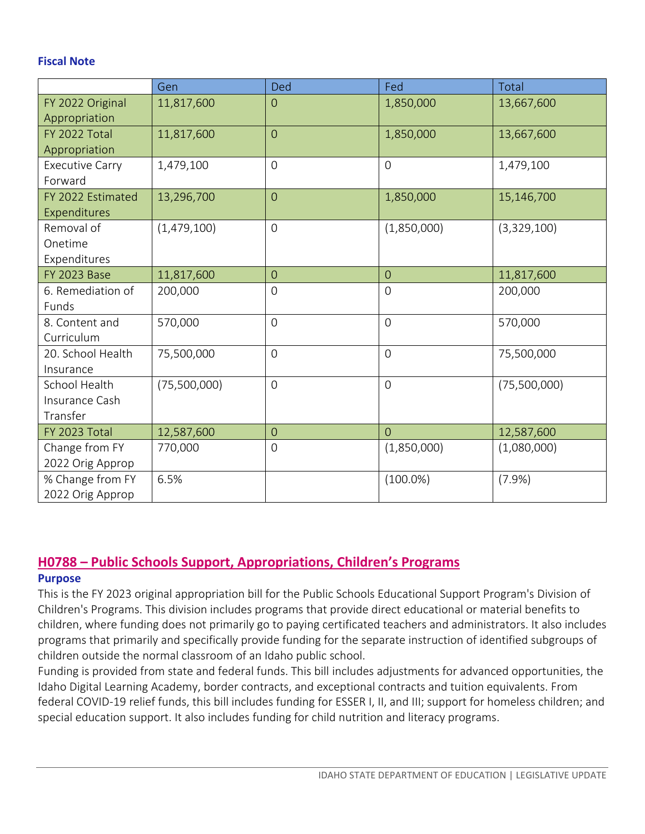#### **Fiscal Note**

|                        | Gen          | Ded            | Fed              | Total        |
|------------------------|--------------|----------------|------------------|--------------|
| FY 2022 Original       | 11,817,600   | $\overline{O}$ | 1,850,000        | 13,667,600   |
| Appropriation          |              |                |                  |              |
| FY 2022 Total          | 11,817,600   | $\overline{0}$ | 1,850,000        | 13,667,600   |
| Appropriation          |              |                |                  |              |
| <b>Executive Carry</b> | 1,479,100    | $\overline{0}$ | $\mathbf 0$      | 1,479,100    |
| Forward                |              |                |                  |              |
| FY 2022 Estimated      | 13,296,700   | $\overline{0}$ | 1,850,000        | 15,146,700   |
| Expenditures           |              |                |                  |              |
| Removal of             | (1,479,100)  | $\overline{0}$ | (1,850,000)      | (3,329,100)  |
| Onetime                |              |                |                  |              |
| Expenditures           |              |                |                  |              |
| <b>FY 2023 Base</b>    | 11,817,600   | $\overline{0}$ | $\overline{0}$   | 11,817,600   |
| 6. Remediation of      | 200,000      | $\mathbf 0$    | $\mathbf 0$      | 200,000      |
| Funds                  |              |                |                  |              |
| 8. Content and         | 570,000      | $\overline{0}$ | $\overline{O}$   | 570,000      |
| Curriculum             |              |                |                  |              |
| 20. School Health      | 75,500,000   | $\mathbf 0$    | $\boldsymbol{0}$ | 75,500,000   |
| Insurance              |              |                |                  |              |
| School Health          | (75,500,000) | $\overline{O}$ | $\overline{O}$   | (75,500,000) |
| Insurance Cash         |              |                |                  |              |
| Transfer               |              |                |                  |              |
| FY 2023 Total          | 12,587,600   | $\overline{0}$ | $\Omega$         | 12,587,600   |
| Change from FY         | 770,000      | $\mathbf 0$    | (1,850,000)      | (1,080,000)  |
| 2022 Orig Approp       |              |                |                  |              |
| % Change from FY       | 6.5%         |                | $(100.0\%)$      | (7.9%        |
| 2022 Orig Approp       |              |                |                  |              |

## <span id="page-12-0"></span>**H0788 – Public Schools Support, Appropriations, Children's Programs**

#### **Purpose**

This is the FY 2023 original appropriation bill for the Public Schools Educational Support Program's Division of Children's Programs. This division includes programs that provide direct educational or material benefits to children, where funding does not primarily go to paying certificated teachers and administrators. It also includes programs that primarily and specifically provide funding for the separate instruction of identified subgroups of children outside the normal classroom of an Idaho public school.

Funding is provided from state and federal funds. This bill includes adjustments for advanced opportunities, the Idaho Digital Learning Academy, border contracts, and exceptional contracts and tuition equivalents. From federal COVID-19 relief funds, this bill includes funding for ESSER I, II, and III; support for homeless children; and special education support. It also includes funding for child nutrition and literacy programs.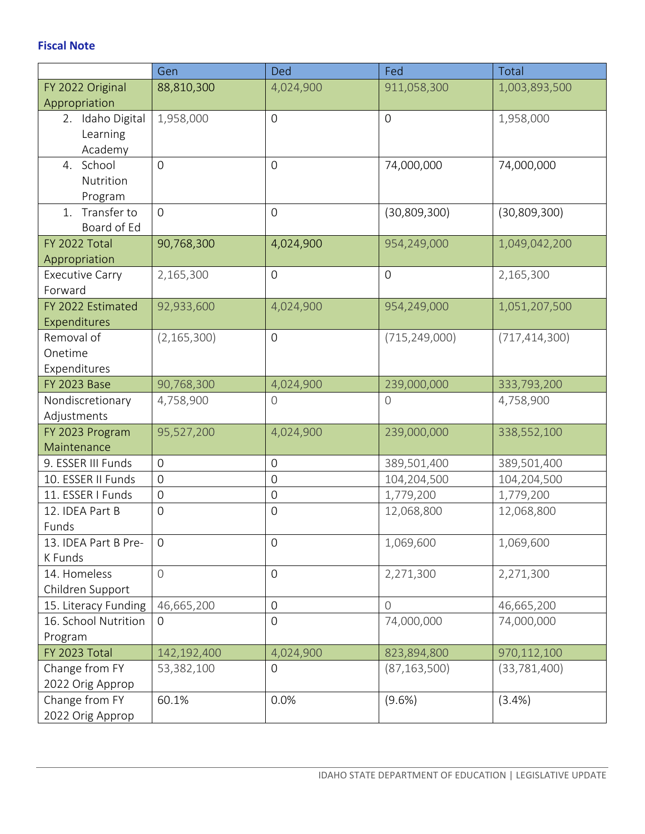|                                                                          | Gen                 | Ded              | Fed                         | Total                     |
|--------------------------------------------------------------------------|---------------------|------------------|-----------------------------|---------------------------|
| FY 2022 Original                                                         | 88,810,300          | 4,024,900        | 911,058,300                 | 1,003,893,500             |
| Appropriation                                                            |                     |                  |                             |                           |
| 2. Idaho Digital                                                         | 1,958,000           | $\mathbf 0$      | $\mathbf 0$                 | 1,958,000                 |
| Learning                                                                 |                     |                  |                             |                           |
| Academy                                                                  |                     |                  |                             |                           |
| 4. School                                                                | $\overline{0}$      | $\overline{0}$   | 74,000,000                  | 74,000,000                |
| Nutrition                                                                |                     |                  |                             |                           |
| Program                                                                  |                     |                  |                             |                           |
| Transfer to<br>1.                                                        | $\overline{0}$      | $\mathbf 0$      | (30,809,300)                | (30, 809, 300)            |
| Board of Ed                                                              |                     |                  |                             |                           |
| FY 2022 Total                                                            | 90,768,300          | 4,024,900        | 954,249,000                 | 1,049,042,200             |
| Appropriation                                                            |                     |                  |                             |                           |
| <b>Executive Carry</b>                                                   | 2,165,300           | $\boldsymbol{0}$ | $\mathbf 0$                 | 2,165,300                 |
| Forward                                                                  |                     |                  |                             |                           |
| FY 2022 Estimated                                                        | 92,933,600          | 4,024,900        | 954,249,000                 | 1,051,207,500             |
| Expenditures                                                             |                     |                  |                             |                           |
| Removal of                                                               | (2, 165, 300)       | $\boldsymbol{0}$ | (715, 249, 000)             | (717, 414, 300)           |
| Onetime                                                                  |                     |                  |                             |                           |
| Expenditures                                                             |                     |                  |                             |                           |
| <b>FY 2023 Base</b>                                                      | 90,768,300          | 4,024,900        | 239,000,000                 | 333,793,200               |
| Nondiscretionary                                                         | 4,758,900           | 0                | $\mathsf{O}$                | 4,758,900                 |
| Adjustments                                                              |                     |                  |                             |                           |
| FY 2023 Program                                                          | 95,527,200          | 4,024,900        | 239,000,000                 | 338,552,100               |
| Maintenance                                                              |                     |                  |                             |                           |
| 9. ESSER III Funds                                                       | $\overline{0}$      | 0                | 389,501,400                 | 389,501,400               |
| 10. ESSER II Funds                                                       | $\mathbf 0$         | $\boldsymbol{0}$ | 104,204,500                 | 104,204,500               |
| 11. ESSER I Funds                                                        | $\mathbf 0$         | $\overline{0}$   | 1,779,200                   | 1,779,200                 |
| 12. IDEA Part B                                                          | $\mathbf 0$         | $\mathbf 0$      | 12,068,800                  | 12,068,800                |
| Funds                                                                    |                     |                  |                             |                           |
| 13. IDEA Part B Pre-                                                     | $\mathbf 0$         | 0                | 1,069,600                   | 1,069,600                 |
| K Funds                                                                  |                     |                  |                             |                           |
| 14. Homeless                                                             | $\bigcirc$          | $\boldsymbol{0}$ | 2,271,300                   | 2,271,300                 |
| Children Support                                                         |                     |                  |                             |                           |
| 15. Literacy Funding                                                     | 46,665,200          | $\boldsymbol{0}$ | $\overline{0}$              | 46,665,200                |
| 16. School Nutrition                                                     | $\mathbf 0$         | 0                | 74,000,000                  | 74,000,000                |
| Program                                                                  |                     |                  |                             |                           |
| FY 2023 Total                                                            | 142,192,400         | 4,024,900<br>0   | 823,894,800                 | 970,112,100               |
|                                                                          |                     |                  |                             |                           |
|                                                                          |                     |                  |                             |                           |
|                                                                          |                     |                  |                             |                           |
| Change from FY<br>2022 Orig Approp<br>Change from FY<br>2022 Orig Approp | 53,382,100<br>60.1% | 0.0%             | (87, 163, 500)<br>$(9.6\%)$ | (33, 781, 400)<br>(3.4% ) |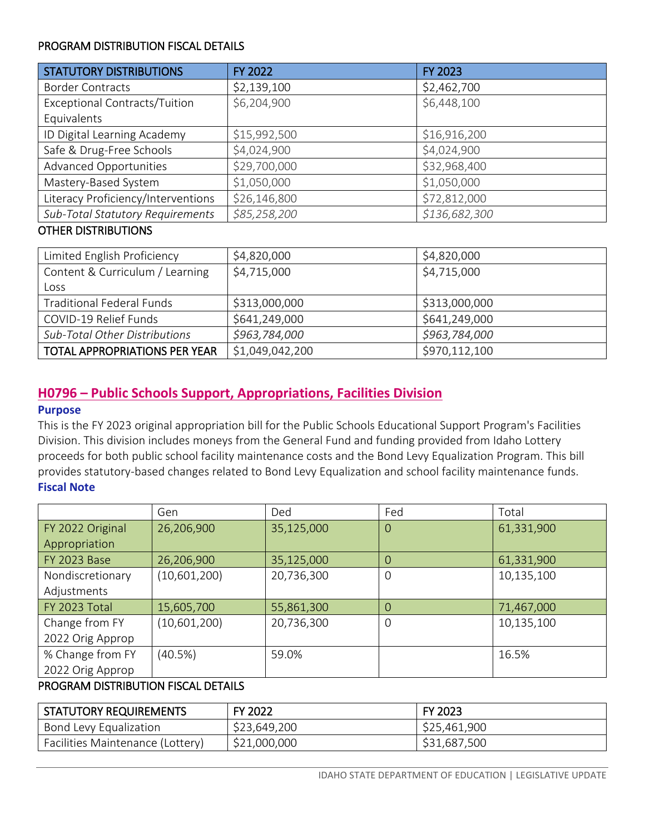#### PROGRAM DISTRIBUTION FISCAL DETAILS

| <b>STATUTORY DISTRIBUTIONS</b>       | FY 2022      | <b>FY 2023</b> |
|--------------------------------------|--------------|----------------|
| <b>Border Contracts</b>              | \$2,139,100  | \$2,462,700    |
| <b>Exceptional Contracts/Tuition</b> | \$6,204,900  | \$6,448,100    |
| Equivalents                          |              |                |
| ID Digital Learning Academy          | \$15,992,500 | \$16,916,200   |
| Safe & Drug-Free Schools             | \$4,024,900  | \$4,024,900    |
| Advanced Opportunities               | \$29,700,000 | \$32,968,400   |
| Mastery-Based System                 | \$1,050,000  | \$1,050,000    |
| Literacy Proficiency/Interventions   | \$26,146,800 | \$72,812,000   |
| Sub-Total Statutory Requirements     | \$85,258,200 | \$136,682,300  |

#### OTHER DISTRIBUTIONS

| Limited English Proficiency          | \$4,820,000     | \$4,820,000   |
|--------------------------------------|-----------------|---------------|
| Content & Curriculum / Learning      | \$4,715,000     | \$4,715,000   |
| Loss                                 |                 |               |
| <b>Traditional Federal Funds</b>     | \$313,000,000   | \$313,000,000 |
| COVID-19 Relief Funds                | \$641,249,000   | \$641,249,000 |
| <b>Sub-Total Other Distributions</b> | \$963,784,000   | \$963,784,000 |
| <b>TOTAL APPROPRIATIONS PER YEAR</b> | \$1,049,042,200 | \$970,112,100 |

## <span id="page-14-0"></span>**H0796 – Public Schools Support, Appropriations, Facilities Division**

#### **Purpose**

This is the FY 2023 original appropriation bill for the Public Schools Educational Support Program's Facilities Division. This division includes moneys from the General Fund and funding provided from Idaho Lottery proceeds for both public school facility maintenance costs and the Bond Levy Equalization Program. This bill provides statutory-based changes related to Bond Levy Equalization and school facility maintenance funds. **Fiscal Note**

|                     | Gen          | Ded        | Fed         | Total      |
|---------------------|--------------|------------|-------------|------------|
| FY 2022 Original    | 26,206,900   | 35,125,000 | $\Omega$    | 61,331,900 |
| Appropriation       |              |            |             |            |
| <b>FY 2023 Base</b> | 26,206,900   | 35,125,000 | 0           | 61,331,900 |
| Nondiscretionary    | (10,601,200) | 20,736,300 | $\mathbf 0$ | 10,135,100 |
| Adjustments         |              |            |             |            |
| FY 2023 Total       | 15,605,700   | 55,861,300 | 0           | 71,467,000 |
| Change from FY      | (10,601,200) | 20,736,300 | $\mathbf 0$ | 10,135,100 |
| 2022 Orig Approp    |              |            |             |            |
| % Change from FY    | (40.5%)      | 59.0%      |             | 16.5%      |
| 2022 Orig Approp    |              |            |             |            |

#### PROGRAM DISTRIBUTION FISCAL DETAILS

| STATUTORY REQUIREMENTS           | FY 2022      | <b>FY 2023</b> |
|----------------------------------|--------------|----------------|
| Bond Levy Equalization           | \$23,649,200 | \$25,461,900   |
| Facilities Maintenance (Lottery) | \$21,000,000 | \$31,687,500   |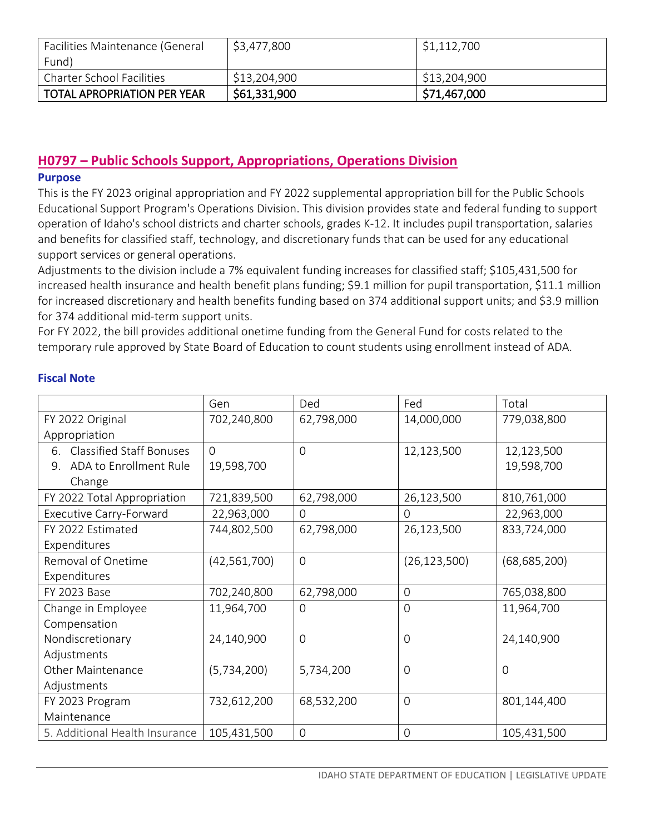| Facilities Maintenance (General    | \$3,477,800  | \$1,112,700  |
|------------------------------------|--------------|--------------|
| Fund)                              |              |              |
| <b>Charter School Facilities</b>   | \$13,204,900 | \$13,204,900 |
| <b>TOTAL APROPRIATION PER YEAR</b> | \$61,331,900 | \$71,467,000 |

## <span id="page-15-0"></span>**H0797 – Public Schools Support, Appropriations, Operations Division**

#### **Purpose**

This is the FY 2023 original appropriation and FY 2022 supplemental appropriation bill for the Public Schools Educational Support Program's Operations Division. This division provides state and federal funding to support operation of Idaho's school districts and charter schools, grades K-12. It includes pupil transportation, salaries and benefits for classified staff, technology, and discretionary funds that can be used for any educational support services or general operations.

Adjustments to the division include a 7% equivalent funding increases for classified staff; \$105,431,500 for increased health insurance and health benefit plans funding; \$9.1 million for pupil transportation, \$11.1 million for increased discretionary and health benefits funding based on 374 additional support units; and \$3.9 million for 374 additional mid-term support units.

For FY 2022, the bill provides additional onetime funding from the General Fund for costs related to the temporary rule approved by State Board of Education to count students using enrollment instead of ADA.

|                                | Gen            | Ded            | Fed            | Total          |
|--------------------------------|----------------|----------------|----------------|----------------|
| FY 2022 Original               | 702,240,800    | 62,798,000     | 14,000,000     | 779,038,800    |
| Appropriation                  |                |                |                |                |
| 6. Classified Staff Bonuses    | $\Omega$       | $\overline{0}$ | 12,123,500     | 12,123,500     |
| ADA to Enrollment Rule<br>9.   | 19,598,700     |                |                | 19,598,700     |
| Change                         |                |                |                |                |
| FY 2022 Total Appropriation    | 721,839,500    | 62,798,000     | 26,123,500     | 810,761,000    |
| Executive Carry-Forward        | 22,963,000     | 0              | 0              | 22,963,000     |
| FY 2022 Estimated              | 744,802,500    | 62,798,000     | 26,123,500     | 833,724,000    |
| Expenditures                   |                |                |                |                |
| Removal of Onetime             | (42, 561, 700) | $\overline{0}$ | (26, 123, 500) | (68, 685, 200) |
| Expenditures                   |                |                |                |                |
| FY 2023 Base                   | 702,240,800    | 62,798,000     | $\mathbf 0$    | 765,038,800    |
| Change in Employee             | 11,964,700     | $\overline{0}$ | $\overline{0}$ | 11,964,700     |
| Compensation                   |                |                |                |                |
| Nondiscretionary               | 24,140,900     | 0              | 0              | 24,140,900     |
| Adjustments                    |                |                |                |                |
| <b>Other Maintenance</b>       | (5,734,200)    | 5,734,200      | 0              | 0              |
| Adjustments                    |                |                |                |                |
| FY 2023 Program                | 732,612,200    | 68,532,200     | $\overline{0}$ | 801,144,400    |
| Maintenance                    |                |                |                |                |
| 5. Additional Health Insurance | 105,431,500    | $\mathbf 0$    | $\mathbf 0$    | 105,431,500    |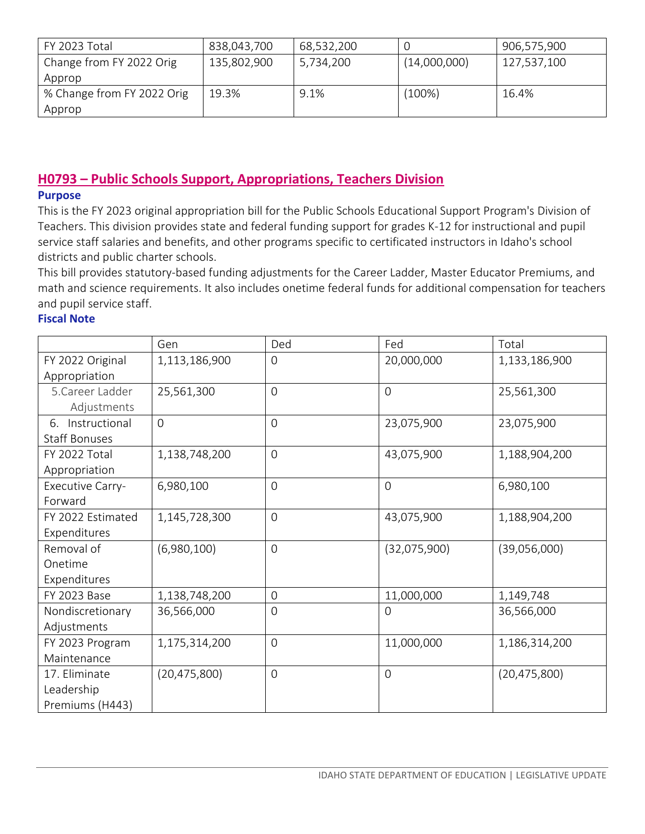| FY 2023 Total              | 838,043,700 | 68,532,200 |              | 906,575,900 |
|----------------------------|-------------|------------|--------------|-------------|
| Change from FY 2022 Orig   | 135,802,900 | 5,734,200  | (14,000,000) | 127,537,100 |
| Approp                     |             |            |              |             |
| % Change from FY 2022 Orig | 19.3%       | 9.1%       | (100%)       | 16.4%       |
| Approp                     |             |            |              |             |

## <span id="page-16-0"></span>**H0793 – Public Schools Support, Appropriations, Teachers Division**

#### **Purpose**

This is the FY 2023 original appropriation bill for the Public Schools Educational Support Program's Division of Teachers. This division provides state and federal funding support for grades K-12 for instructional and pupil service staff salaries and benefits, and other programs specific to certificated instructors in Idaho's school districts and public charter schools.

This bill provides statutory-based funding adjustments for the Career Ladder, Master Educator Premiums, and math and science requirements. It also includes onetime federal funds for additional compensation for teachers and pupil service staff.

|                      | Gen            | Ded            | Fed            | Total          |
|----------------------|----------------|----------------|----------------|----------------|
| FY 2022 Original     | 1,113,186,900  | $\overline{0}$ | 20,000,000     | 1,133,186,900  |
| Appropriation        |                |                |                |                |
| 5. Career Ladder     | 25,561,300     | $\overline{0}$ | $\overline{O}$ | 25,561,300     |
| Adjustments          |                |                |                |                |
| Instructional<br>6.  | $\overline{0}$ | $\overline{0}$ | 23,075,900     | 23,075,900     |
| <b>Staff Bonuses</b> |                |                |                |                |
| FY 2022 Total        | 1,138,748,200  | $\overline{0}$ | 43,075,900     | 1,188,904,200  |
| Appropriation        |                |                |                |                |
| Executive Carry-     | 6,980,100      | $\overline{0}$ | $\mathbf 0$    | 6,980,100      |
| Forward              |                |                |                |                |
| FY 2022 Estimated    | 1,145,728,300  | $\mathbf 0$    | 43,075,900     | 1,188,904,200  |
| Expenditures         |                |                |                |                |
| Removal of           | (6,980,100)    | $\overline{0}$ | (32,075,900)   | (39,056,000)   |
| Onetime              |                |                |                |                |
| Expenditures         |                |                |                |                |
| FY 2023 Base         | 1,138,748,200  | $\mathbf 0$    | 11,000,000     | 1,149,748      |
| Nondiscretionary     | 36,566,000     | $\overline{0}$ | $\overline{0}$ | 36,566,000     |
| Adjustments          |                |                |                |                |
| FY 2023 Program      | 1,175,314,200  | $\mathbf 0$    | 11,000,000     | 1,186,314,200  |
| Maintenance          |                |                |                |                |
| 17. Eliminate        | (20, 475, 800) | $\overline{0}$ | $\overline{0}$ | (20, 475, 800) |
| Leadership           |                |                |                |                |
| Premiums (H443)      |                |                |                |                |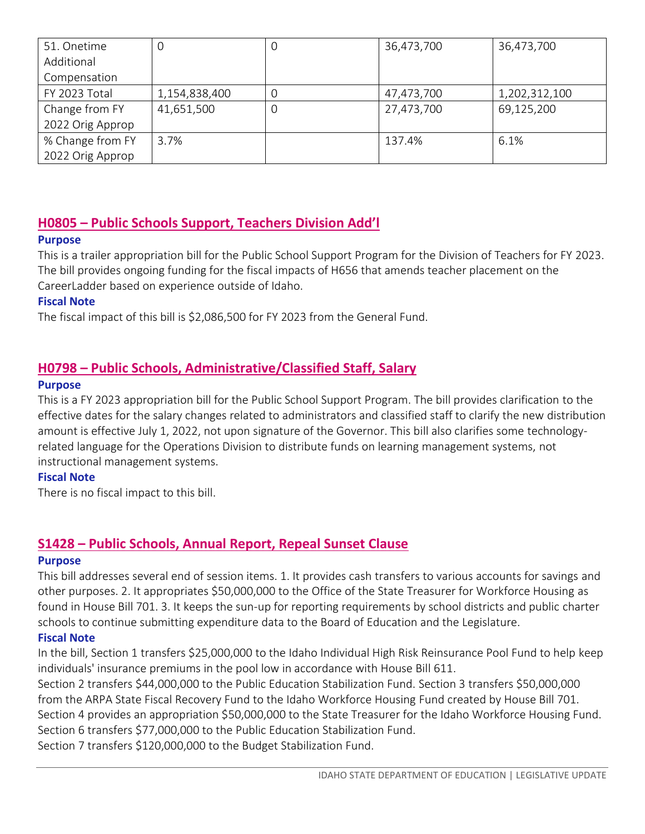| 51. Onetime      | 0             | O | 36,473,700 | 36,473,700    |
|------------------|---------------|---|------------|---------------|
| Additional       |               |   |            |               |
| Compensation     |               |   |            |               |
| FY 2023 Total    | 1,154,838,400 | O | 47,473,700 | 1,202,312,100 |
| Change from FY   | 41,651,500    | O | 27,473,700 | 69,125,200    |
| 2022 Orig Approp |               |   |            |               |
| % Change from FY | 3.7%          |   | 137.4%     | 6.1%          |
| 2022 Orig Approp |               |   |            |               |

## <span id="page-17-0"></span>**H0805 – Public Schools Support, Teachers Division Add'l**

## **Purpose**

This is a trailer appropriation bill for the Public School Support Program for the Division of Teachers for FY 2023. The bill provides ongoing funding for the fiscal impacts of H656 that amends teacher placement on the CareerLadder based on experience outside of Idaho.

## **Fiscal Note**

The fiscal impact of this bill is \$2,086,500 for FY 2023 from the General Fund.

## <span id="page-17-1"></span>**H0798 – Public Schools, Administrative/Classified Staff, Salary**

#### **Purpose**

This is a FY 2023 appropriation bill for the Public School Support Program. The bill provides clarification to the effective dates for the salary changes related to administrators and classified staff to clarify the new distribution amount is effective July 1, 2022, not upon signature of the Governor. This bill also clarifies some technologyrelated language for the Operations Division to distribute funds on learning management systems, not instructional management systems.

#### **Fiscal Note**

There is no fiscal impact to this bill.

## **S1428 – Public Schools, Annual Report, Repeal Sunset Clause**

#### **Purpose**

This bill addresses several end of session items. 1. It provides cash transfers to various accounts for savings and other purposes. 2. It appropriates \$50,000,000 to the Office of the State Treasurer for Workforce Housing as found in House Bill 701. 3. It keeps the sun-up for reporting requirements by school districts and public charter schools to continue submitting expenditure data to the Board of Education and the Legislature.

## **Fiscal Note**

In the bill, Section 1 transfers \$25,000,000 to the Idaho Individual High Risk Reinsurance Pool Fund to help keep individuals' insurance premiums in the pool low in accordance with House Bill 611.

Section 2 transfers \$44,000,000 to the Public Education Stabilization Fund. Section 3 transfers \$50,000,000 from the ARPA State Fiscal Recovery Fund to the Idaho Workforce Housing Fund created by House Bill 701. Section 4 provides an appropriation \$50,000,000 to the State Treasurer for the Idaho Workforce Housing Fund. Section 6 transfers \$77,000,000 to the Public Education Stabilization Fund. Section 7 transfers \$120,000,000 to the Budget Stabilization Fund.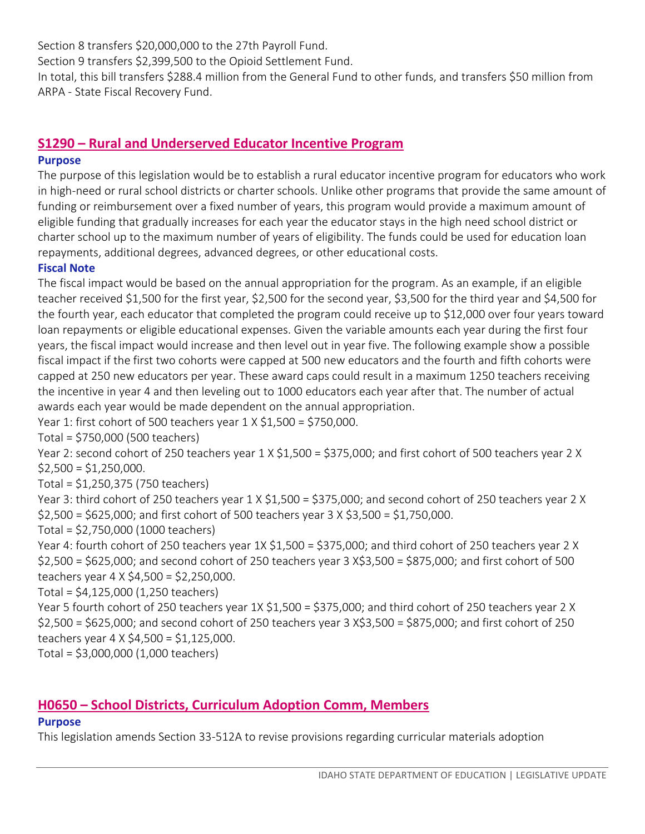Section 8 transfers \$20,000,000 to the 27th Payroll Fund. Section 9 transfers \$2,399,500 to the Opioid Settlement Fund. In total, this bill transfers \$288.4 million from the General Fund to other funds, and transfers \$50 million from ARPA - State Fiscal Recovery Fund.

## <span id="page-18-0"></span>**S1290 – Rural and Underserved Educator Incentive Program**

#### **Purpose**

The purpose of this legislation would be to establish a rural educator incentive program for educators who work in high-need or rural school districts or charter schools. Unlike other programs that provide the same amount of funding or reimbursement over a fixed number of years, this program would provide a maximum amount of eligible funding that gradually increases for each year the educator stays in the high need school district or charter school up to the maximum number of years of eligibility. The funds could be used for education loan repayments, additional degrees, advanced degrees, or other educational costs.

#### **Fiscal Note**

The fiscal impact would be based on the annual appropriation for the program. As an example, if an eligible teacher received \$1,500 for the first year, \$2,500 for the second year, \$3,500 for the third year and \$4,500 for the fourth year, each educator that completed the program could receive up to \$12,000 over four years toward loan repayments or eligible educational expenses. Given the variable amounts each year during the first four years, the fiscal impact would increase and then level out in year five. The following example show a possible fiscal impact if the first two cohorts were capped at 500 new educators and the fourth and fifth cohorts were capped at 250 new educators per year. These award caps could result in a maximum 1250 teachers receiving the incentive in year 4 and then leveling out to 1000 educators each year after that. The number of actual awards each year would be made dependent on the annual appropriation.

Year 1: first cohort of 500 teachers year 1 X \$1,500 = \$750,000.

Total = \$750,000 (500 teachers)

Year 2: second cohort of 250 teachers year 1 X \$1,500 = \$375,000; and first cohort of 500 teachers year 2 X  $$2,500 = $1,250,000.$ 

Total = \$1,250,375 (750 teachers)

Year 3: third cohort of 250 teachers year 1 X \$1,500 = \$375,000; and second cohort of 250 teachers year 2 X  $$2,500 = $625,000$ ; and first cohort of 500 teachers year 3 X \$3,500 = \$1,750,000.

Total = \$2,750,000 (1000 teachers)

Year 4: fourth cohort of 250 teachers year 1X \$1,500 = \$375,000; and third cohort of 250 teachers year 2 X \$2,500 = \$625,000; and second cohort of 250 teachers year 3 X\$3,500 = \$875,000; and first cohort of 500 teachers year 4 X \$4,500 = \$2,250,000.

Total = \$4,125,000 (1,250 teachers)

Year 5 fourth cohort of 250 teachers year 1X \$1,500 = \$375,000; and third cohort of 250 teachers year 2 X \$2,500 = \$625,000; and second cohort of 250 teachers year 3 X\$3,500 = \$875,000; and first cohort of 250 teachers year 4 X \$4,500 = \$1,125,000.

Total = \$3,000,000 (1,000 teachers)

## <span id="page-18-1"></span>**H0650 – School Districts, Curriculum Adoption Comm, Members**

#### **Purpose**

This legislation amends Section 33-512A to revise provisions regarding curricular materials adoption